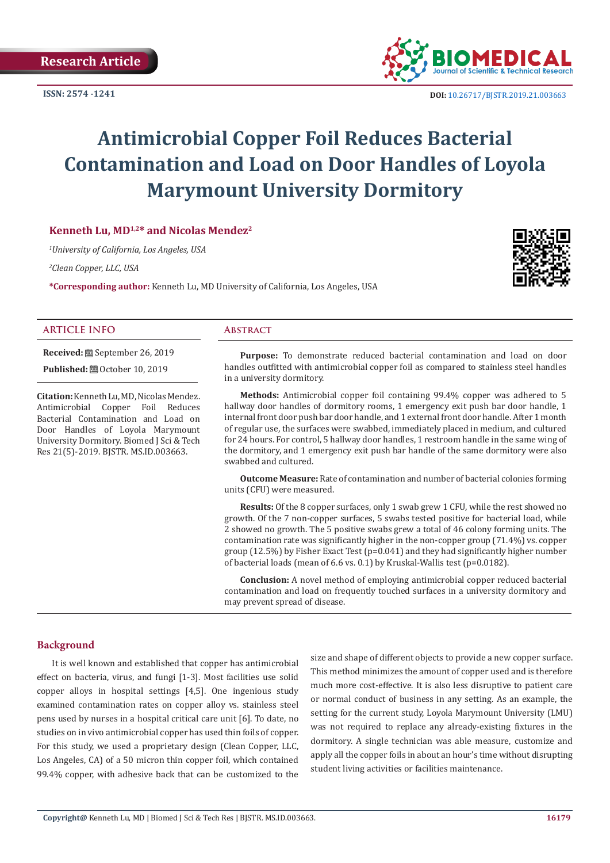**ISSN: 2574 -1241**



 **DOI:** [10.26717/BJSTR.2019.21.0036](http://dx.doi.org/10.26717/BJSTR.2019.21.003663)63

# **Antimicrobial Copper Foil Reduces Bacterial Contamination and Load on Door Handles of Loyola Marymount University Dormitory**

# **Kenneth Lu, MD1,2\* and Nicolas Mendez2**

*1 University of California, Los Angeles, USA*

*2 Clean Copper, LLC, USA*

**\*Corresponding author:** Kenneth Lu, MD University of California, Los Angeles, USA



#### **ARTICLE INFO Abstract**

**Received:** September 26, 2019

**Published:**  $\blacksquare$  October 10, 2019

**Citation:** Kenneth Lu, MD, Nicolas Mendez. Antimicrobial Copper Foil Reduces Bacterial Contamination and Load on Door Handles of Loyola Marymount University Dormitory. Biomed J Sci & Tech Res 21(5)-2019. BJSTR. MS.ID.003663.

**Purpose:** To demonstrate reduced bacterial contamination and load on door handles outfitted with antimicrobial copper foil as compared to stainless steel handles in a university dormitory.

**Methods:** Antimicrobial copper foil containing 99.4% copper was adhered to 5 hallway door handles of dormitory rooms, 1 emergency exit push bar door handle, 1 internal front door push bar door handle, and 1 external front door handle. After 1 month of regular use, the surfaces were swabbed, immediately placed in medium, and cultured for 24 hours. For control, 5 hallway door handles, 1 restroom handle in the same wing of the dormitory, and 1 emergency exit push bar handle of the same dormitory were also swabbed and cultured.

**Outcome Measure:** Rate of contamination and number of bacterial colonies forming units (CFU) were measured.

**Results:** Of the 8 copper surfaces, only 1 swab grew 1 CFU, while the rest showed no growth. Of the 7 non-copper surfaces, 5 swabs tested positive for bacterial load, while 2 showed no growth. The 5 positive swabs grew a total of 46 colony forming units. The contamination rate was significantly higher in the non-copper group (71.4%) vs. copper group (12.5%) by Fisher Exact Test (p=0.041) and they had significantly higher number of bacterial loads (mean of 6.6 vs. 0.1) by Kruskal-Wallis test (p=0.0182).

**Conclusion:** A novel method of employing antimicrobial copper reduced bacterial contamination and load on frequently touched surfaces in a university dormitory and may prevent spread of disease.

## **Background**

It is well known and established that copper has antimicrobial effect on bacteria, virus, and fungi [1-3]. Most facilities use solid copper alloys in hospital settings [4,5]. One ingenious study examined contamination rates on copper alloy vs. stainless steel pens used by nurses in a hospital critical care unit [6]. To date, no studies on in vivo antimicrobial copper has used thin foils of copper. For this study, we used a proprietary design (Clean Copper, LLC, Los Angeles, CA) of a 50 micron thin copper foil, which contained 99.4% copper, with adhesive back that can be customized to the

size and shape of different objects to provide a new copper surface. This method minimizes the amount of copper used and is therefore much more cost-effective. It is also less disruptive to patient care or normal conduct of business in any setting. As an example, the setting for the current study, Loyola Marymount University (LMU) was not required to replace any already-existing fixtures in the dormitory. A single technician was able measure, customize and apply all the copper foils in about an hour's time without disrupting student living activities or facilities maintenance.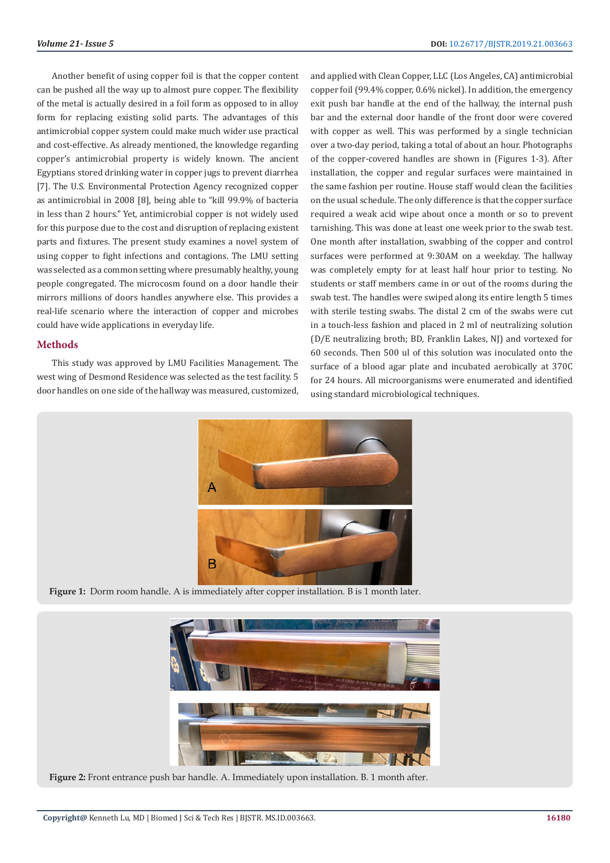Another benefit of using copper foil is that the copper content can be pushed all the way up to almost pure copper. The flexibility of the metal is actually desired in a foil form as opposed to in alloy form for replacing existing solid parts. The advantages of this antimicrobial copper system could make much wider use practical and cost-effective. As already mentioned, the knowledge regarding copper's antimicrobial property is widely known. The ancient Egyptians stored drinking water in copper jugs to prevent diarrhea [7]. The U.S. Environmental Protection Agency recognized copper as antimicrobial in 2008 [8], being able to "kill 99.9% of bacteria in less than 2 hours." Yet, antimicrobial copper is not widely used for this purpose due to the cost and disruption of replacing existent parts and fixtures. The present study examines a novel system of using copper to fight infections and contagions. The LMU setting was selected as a common setting where presumably healthy, young people congregated. The microcosm found on a door handle their mirrors millions of doors handles anywhere else. This provides a real-life scenario where the interaction of copper and microbes could have wide applications in everyday life.

### **Methods**

This study was approved by LMU Facilities Management. The west wing of Desmond Residence was selected as the test facility. 5 door handles on one side of the hallway was measured, customized, and applied with Clean Copper, LLC (Los Angeles, CA) antimicrobial copper foil (99.4% copper, 0.6% nickel). In addition, the emergency exit push bar handle at the end of the hallway, the internal push bar and the external door handle of the front door were covered with copper as well. This was performed by a single technician over a two-day period, taking a total of about an hour. Photographs of the copper-covered handles are shown in (Figures 1-3). After installation, the copper and regular surfaces were maintained in the same fashion per routine. House staff would clean the facilities on the usual schedule. The only difference is that the copper surface required a weak acid wipe about once a month or so to prevent tarnishing. This was done at least one week prior to the swab test. One month after installation, swabbing of the copper and control surfaces were performed at 9:30AM on a weekday. The hallway was completely empty for at least half hour prior to testing. No students or staff members came in or out of the rooms during the swab test. The handles were swiped along its entire length 5 times with sterile testing swabs. The distal 2 cm of the swabs were cut in a touch-less fashion and placed in 2 ml of neutralizing solution (D/E neutralizing broth; BD, Franklin Lakes, NJ) and vortexed for 60 seconds. Then 500 ul of this solution was inoculated onto the surface of a blood agar plate and incubated aerobically at 370C for 24 hours. All microorganisms were enumerated and identified using standard microbiological techniques.



**Figure 1:** Dorm room handle. A is immediately after copper installation. B is 1 month later.



**Figure 2:** Front entrance push bar handle. A. Immediately upon installation. B. 1 month after.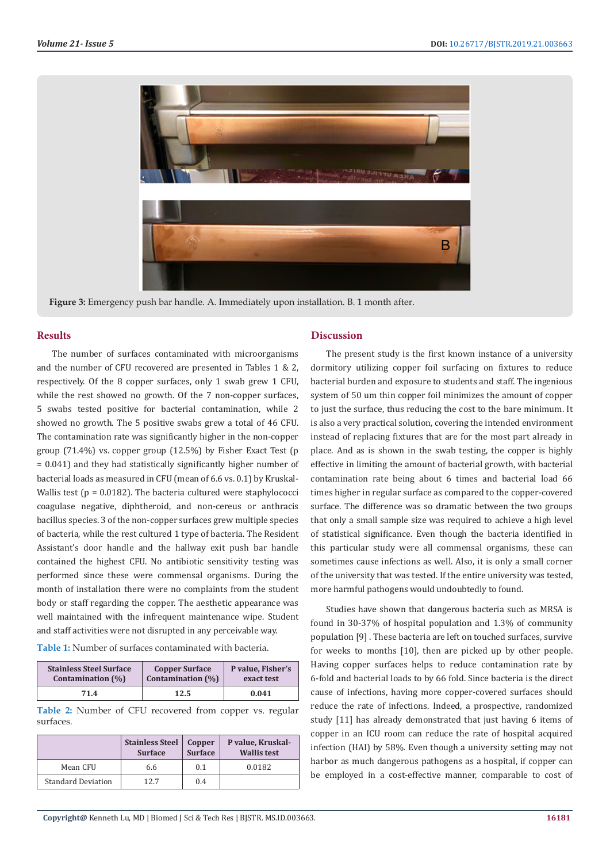

**Figure 3:** Emergency push bar handle. A. Immediately upon installation. B. 1 month after.

#### **Results**

The number of surfaces contaminated with microorganisms and the number of CFU recovered are presented in Tables 1 & 2, respectively. Of the 8 copper surfaces, only 1 swab grew 1 CFU, while the rest showed no growth. Of the 7 non-copper surfaces, 5 swabs tested positive for bacterial contamination, while 2 showed no growth. The 5 positive swabs grew a total of 46 CFU. The contamination rate was significantly higher in the non-copper group (71.4%) vs. copper group (12.5%) by Fisher Exact Test (p = 0.041) and they had statistically significantly higher number of bacterial loads as measured in CFU (mean of 6.6 vs. 0.1) by Kruskal-Wallis test ( $p = 0.0182$ ). The bacteria cultured were staphylococci coagulase negative, diphtheroid, and non-cereus or anthracis bacillus species. 3 of the non-copper surfaces grew multiple species of bacteria, while the rest cultured 1 type of bacteria. The Resident Assistant's door handle and the hallway exit push bar handle contained the highest CFU. No antibiotic sensitivity testing was performed since these were commensal organisms. During the month of installation there were no complaints from the student body or staff regarding the copper. The aesthetic appearance was well maintained with the infrequent maintenance wipe. Student and staff activities were not disrupted in any perceivable way.

| <b>Table 1:</b> Number of surfaces contaminated with bacteria. |  |
|----------------------------------------------------------------|--|
|----------------------------------------------------------------|--|

| <b>Stainless Steel Surface</b> | <b>Copper Surface</b> | P value, Fisher's |
|--------------------------------|-----------------------|-------------------|
| Contamination (%)              | Contamination (%)     | exact test        |
| 71.4                           | 12.5                  | 0.041             |

**Table 2:** Number of CFU recovered from copper vs. regular surfaces.

|                           | <b>Stainless Steel</b><br><b>Surface</b> | Copper<br><b>Surface</b> | P value, Kruskal-<br><b>Wallis test</b> |
|---------------------------|------------------------------------------|--------------------------|-----------------------------------------|
| Mean CFU                  | 6.6                                      | 0.1                      | 0.0182                                  |
| <b>Standard Deviation</b> | 12.7                                     | 0.4                      |                                         |

#### **Discussion**

The present study is the first known instance of a university dormitory utilizing copper foil surfacing on fixtures to reduce bacterial burden and exposure to students and staff. The ingenious system of 50 um thin copper foil minimizes the amount of copper to just the surface, thus reducing the cost to the bare minimum. It is also a very practical solution, covering the intended environment instead of replacing fixtures that are for the most part already in place. And as is shown in the swab testing, the copper is highly effective in limiting the amount of bacterial growth, with bacterial contamination rate being about 6 times and bacterial load 66 times higher in regular surface as compared to the copper-covered surface. The difference was so dramatic between the two groups that only a small sample size was required to achieve a high level of statistical significance. Even though the bacteria identified in this particular study were all commensal organisms, these can sometimes cause infections as well. Also, it is only a small corner of the university that was tested. If the entire university was tested, more harmful pathogens would undoubtedly to found.

Studies have shown that dangerous bacteria such as MRSA is found in 30-37% of hospital population and 1.3% of community population [9] . These bacteria are left on touched surfaces, survive for weeks to months [10], then are picked up by other people. Having copper surfaces helps to reduce contamination rate by 6-fold and bacterial loads to by 66 fold. Since bacteria is the direct cause of infections, having more copper-covered surfaces should reduce the rate of infections. Indeed, a prospective, randomized study [11] has already demonstrated that just having 6 items of copper in an ICU room can reduce the rate of hospital acquired infection (HAI) by 58%. Even though a university setting may not harbor as much dangerous pathogens as a hospital, if copper can be employed in a cost-effective manner, comparable to cost of